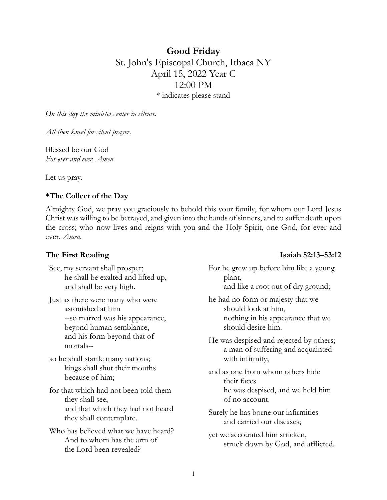# **Good Friday** St. John's Episcopal Church, Ithaca NY April 15, 2022 Year C 12:00 PM \* indicates please stand

*On this day the ministers enter in silence.* 

*All then kneel for silent prayer.*

Blessed be our God *For ever and ever. Amen*

Let us pray.

#### **\*The Collect of the Day**

Almighty God, we pray you graciously to behold this your family, for whom our Lord Jesus Christ was willing to be betrayed, and given into the hands of sinners, and to suffer death upon the cross; who now lives and reigns with you and the Holy Spirit, one God, for ever and ever. *Amen.*

#### **The First Reading Isaiah 52:13–53:12**

See, my servant shall prosper; he shall be exalted and lifted up, and shall be very high.

Just as there were many who were astonished at him --so marred was his appearance, beyond human semblance, and his form beyond that of mortals--

so he shall startle many nations; kings shall shut their mouths because of him;

for that which had not been told them they shall see, and that which they had not heard they shall contemplate.

Who has believed what we have heard? And to whom has the arm of the Lord been revealed?

- For he grew up before him like a young plant, and like a root out of dry ground;
- he had no form or majesty that we should look at him, nothing in his appearance that we should desire him.
- He was despised and rejected by others; a man of suffering and acquainted with infirmity;
- and as one from whom others hide their faces he was despised, and we held him of no account.
- Surely he has borne our infirmities and carried our diseases;
- yet we accounted him stricken, struck down by God, and afflicted.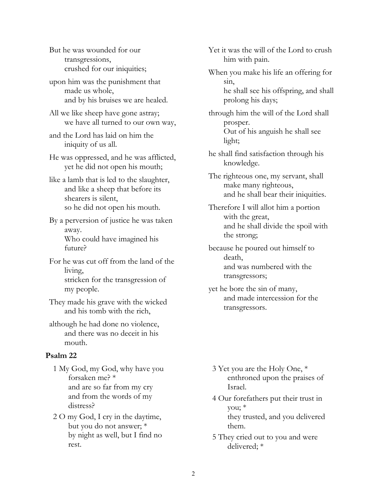But he was wounded for our transgressions, crushed for our iniquities;

upon him was the punishment that made us whole, and by his bruises we are healed.

All we like sheep have gone astray; we have all turned to our own way,

and the Lord has laid on him the iniquity of us all.

He was oppressed, and he was afflicted, yet he did not open his mouth;

like a lamb that is led to the slaughter, and like a sheep that before its shearers is silent, so he did not open his mouth.

By a perversion of justice he was taken away. Who could have imagined his future?

For he was cut off from the land of the living, stricken for the transgression of my people.

They made his grave with the wicked and his tomb with the rich,

although he had done no violence, and there was no deceit in his mouth.

#### **Psalm 22**

1 My God, my God, why have you forsaken me? \* and are so far from my cry and from the words of my distress?

2 O my God, I cry in the daytime, but you do not answer; \* by night as well, but I find no rest.

Yet it was the will of the Lord to crush him with pain.

When you make his life an offering for sin, he shall see his offspring, and shall prolong his days;

through him the will of the Lord shall prosper. Out of his anguish he shall see light;

he shall find satisfaction through his knowledge.

The righteous one, my servant, shall make many righteous, and he shall bear their iniquities.

Therefore I will allot him a portion with the great, and he shall divide the spoil with the strong;

because he poured out himself to death, and was numbered with the transgressors;

yet he bore the sin of many, and made intercession for the transgressors.

3 Yet you are the Holy One, \* enthroned upon the praises of Israel.

4 Our forefathers put their trust in you; \* they trusted, and you delivered them.

5 They cried out to you and were delivered; \*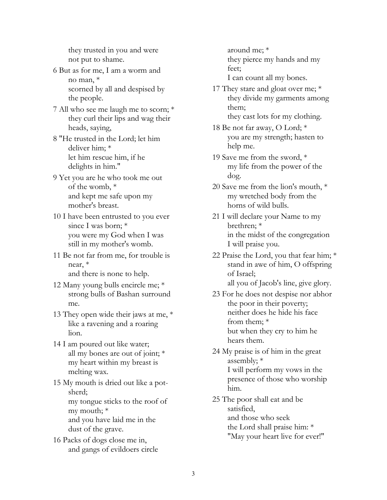they trusted in you and were not put to shame.

- 6 But as for me, I am a worm and no man, \* scorned by all and despised by the people.
- 7 All who see me laugh me to scorn; \* they curl their lips and wag their heads, saying,
- 8 "He trusted in the Lord; let him deliver him; \* let him rescue him, if he delights in him."
- 9 Yet you are he who took me out of the womb, \* and kept me safe upon my mother's breast.
- 10 I have been entrusted to you ever since I was born; \* you were my God when I was still in my mother's womb.
- 11 Be not far from me, for trouble is near, \* and there is none to help.
- 12 Many young bulls encircle me; \* strong bulls of Bashan surround me.
- 13 They open wide their jaws at me, \* like a ravening and a roaring lion.
- 14 I am poured out like water; all my bones are out of joint; \* my heart within my breast is melting wax.
- 15 My mouth is dried out like a potsherd; my tongue sticks to the roof of my mouth; \* and you have laid me in the dust of the grave.
- 16 Packs of dogs close me in, and gangs of evildoers circle

around me; \* they pierce my hands and my feet; I can count all my bones.

- 17 They stare and gloat over me; \* they divide my garments among them; they cast lots for my clothing.
- 18 Be not far away, O Lord; \* you are my strength; hasten to help me.
- 19 Save me from the sword, \* my life from the power of the dog.
- 20 Save me from the lion's mouth, \* my wretched body from the horns of wild bulls.
- 21 I will declare your Name to my brethren; \* in the midst of the congregation I will praise you.
- 22 Praise the Lord, you that fear him; \* stand in awe of him, O offspring of Israel; all you of Jacob's line, give glory.
- 23 For he does not despise nor abhor the poor in their poverty; neither does he hide his face from them; \* but when they cry to him he hears them.
- 24 My praise is of him in the great assembly; \* I will perform my vows in the presence of those who worship him.
- 25 The poor shall eat and be satisfied, and those who seek the Lord shall praise him: \* "May your heart live for ever!"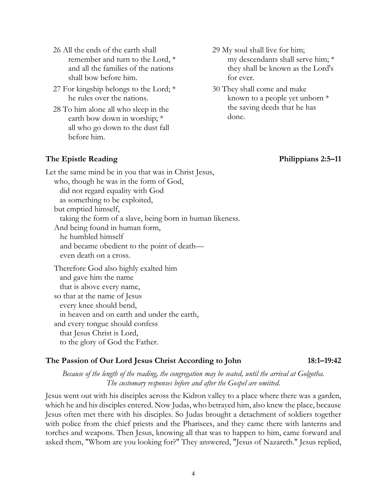- 26 All the ends of the earth shall remember and turn to the Lord, \* and all the families of the nations shall bow before him.
- 27 For kingship belongs to the Lord; \* he rules over the nations.
- 28 To him alone all who sleep in the earth bow down in worship; \* all who go down to the dust fall before him.

#### **The Epistle Reading Philippians 2:5–11**

Let the same mind be in you that was in Christ Jesus, who, though he was in the form of God, did not regard equality with God as something to be exploited, but emptied himself, taking the form of a slave, being born in human likeness. And being found in human form, he humbled himself and became obedient to the point of death even death on a cross. Therefore God also highly exalted him and gave him the name that is above every name, so that at the name of Jesus every knee should bend, in heaven and on earth and under the earth,

and every tongue should confess that Jesus Christ is Lord, to the glory of God the Father.

#### **The Passion of Our Lord Jesus Christ According to John 18:1–19:42**

*Because of the length of the reading, the congregation may be seated, until the arrival at Golgotha. The customary responses before and after the Gospel are omitted.*

Jesus went out with his disciples across the Kidron valley to a place where there was a garden, which he and his disciples entered. Now Judas, who betrayed him, also knew the place, because Jesus often met there with his disciples. So Judas brought a detachment of soldiers together with police from the chief priests and the Pharisees, and they came there with lanterns and torches and weapons. Then Jesus, knowing all that was to happen to him, came forward and asked them, "Whom are you looking for?" They answered, "Jesus of Nazareth." Jesus replied,

4

29 My soul shall live for him; my descendants shall serve him; \* they shall be known as the Lord's for ever.

30 They shall come and make known to a people yet unborn \* the saving deeds that he has done.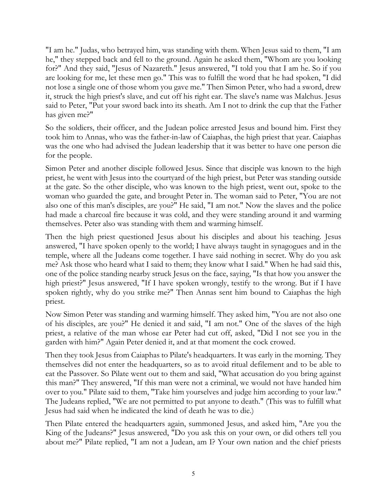"I am he." Judas, who betrayed him, was standing with them. When Jesus said to them, "I am he," they stepped back and fell to the ground. Again he asked them, "Whom are you looking for?" And they said, "Jesus of Nazareth." Jesus answered, "I told you that I am he. So if you are looking for me, let these men go." This was to fulfill the word that he had spoken, "I did not lose a single one of those whom you gave me." Then Simon Peter, who had a sword, drew it, struck the high priest's slave, and cut off his right ear. The slave's name was Malchus. Jesus said to Peter, "Put your sword back into its sheath. Am I not to drink the cup that the Father has given me?"

So the soldiers, their officer, and the Judean police arrested Jesus and bound him. First they took him to Annas, who was the father-in-law of Caiaphas, the high priest that year. Caiaphas was the one who had advised the Judean leadership that it was better to have one person die for the people.

Simon Peter and another disciple followed Jesus. Since that disciple was known to the high priest, he went with Jesus into the courtyard of the high priest, but Peter was standing outside at the gate. So the other disciple, who was known to the high priest, went out, spoke to the woman who guarded the gate, and brought Peter in. The woman said to Peter, "You are not also one of this man's disciples, are you?" He said, "I am not." Now the slaves and the police had made a charcoal fire because it was cold, and they were standing around it and warming themselves. Peter also was standing with them and warming himself.

Then the high priest questioned Jesus about his disciples and about his teaching. Jesus answered, "I have spoken openly to the world; I have always taught in synagogues and in the temple, where all the Judeans come together. I have said nothing in secret. Why do you ask me? Ask those who heard what I said to them; they know what I said." When he had said this, one of the police standing nearby struck Jesus on the face, saying, "Is that how you answer the high priest?" Jesus answered, "If I have spoken wrongly, testify to the wrong. But if I have spoken rightly, why do you strike me?" Then Annas sent him bound to Caiaphas the high priest.

Now Simon Peter was standing and warming himself. They asked him, "You are not also one of his disciples, are you?" He denied it and said, "I am not." One of the slaves of the high priest, a relative of the man whose ear Peter had cut off, asked, "Did I not see you in the garden with him?" Again Peter denied it, and at that moment the cock crowed.

Then they took Jesus from Caiaphas to Pilate's headquarters. It was early in the morning. They themselves did not enter the headquarters, so as to avoid ritual defilement and to be able to eat the Passover. So Pilate went out to them and said, "What accusation do you bring against this man?" They answered, "If this man were not a criminal, we would not have handed him over to you." Pilate said to them, "Take him yourselves and judge him according to your law." The Judeans replied, "We are not permitted to put anyone to death." (This was to fulfill what Jesus had said when he indicated the kind of death he was to die.)

Then Pilate entered the headquarters again, summoned Jesus, and asked him, "Are you the King of the Judeans?" Jesus answered, "Do you ask this on your own, or did others tell you about me?" Pilate replied, "I am not a Judean, am I? Your own nation and the chief priests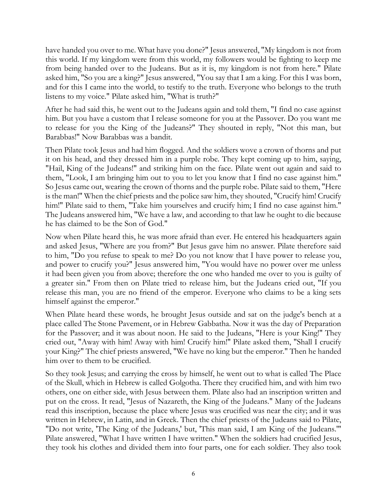have handed you over to me. What have you done?" Jesus answered, "My kingdom is not from this world. If my kingdom were from this world, my followers would be fighting to keep me from being handed over to the Judeans. But as it is, my kingdom is not from here." Pilate asked him, "So you are a king?" Jesus answered, "You say that I am a king. For this I was born, and for this I came into the world, to testify to the truth. Everyone who belongs to the truth listens to my voice." Pilate asked him, "What is truth?"

After he had said this, he went out to the Judeans again and told them, "I find no case against him. But you have a custom that I release someone for you at the Passover. Do you want me to release for you the King of the Judeans?" They shouted in reply, "Not this man, but Barabbas!" Now Barabbas was a bandit.

Then Pilate took Jesus and had him flogged. And the soldiers wove a crown of thorns and put it on his head, and they dressed him in a purple robe. They kept coming up to him, saying, "Hail, King of the Judeans!" and striking him on the face. Pilate went out again and said to them, "Look, I am bringing him out to you to let you know that I find no case against him." So Jesus came out, wearing the crown of thorns and the purple robe. Pilate said to them, "Here is the man!" When the chief priests and the police saw him, they shouted, "Crucify him! Crucify him!" Pilate said to them, "Take him yourselves and crucify him; I find no case against him." The Judeans answered him, "We have a law, and according to that law he ought to die because he has claimed to be the Son of God."

Now when Pilate heard this, he was more afraid than ever. He entered his headquarters again and asked Jesus, "Where are you from?" But Jesus gave him no answer. Pilate therefore said to him, "Do you refuse to speak to me? Do you not know that I have power to release you, and power to crucify you?" Jesus answered him, "You would have no power over me unless it had been given you from above; therefore the one who handed me over to you is guilty of a greater sin." From then on Pilate tried to release him, but the Judeans cried out, "If you release this man, you are no friend of the emperor. Everyone who claims to be a king sets himself against the emperor."

When Pilate heard these words, he brought Jesus outside and sat on the judge's bench at a place called The Stone Pavement, or in Hebrew Gabbatha. Now it was the day of Preparation for the Passover; and it was about noon. He said to the Judeans, "Here is your King!" They cried out, "Away with him! Away with him! Crucify him!" Pilate asked them, "Shall I crucify your King?" The chief priests answered, "We have no king but the emperor." Then he handed him over to them to be crucified.

So they took Jesus; and carrying the cross by himself, he went out to what is called The Place of the Skull, which in Hebrew is called Golgotha. There they crucified him, and with him two others, one on either side, with Jesus between them. Pilate also had an inscription written and put on the cross. It read, "Jesus of Nazareth, the King of the Judeans." Many of the Judeans read this inscription, because the place where Jesus was crucified was near the city; and it was written in Hebrew, in Latin, and in Greek. Then the chief priests of the Judeans said to Pilate, "Do not write, 'The King of the Judeans,' but, 'This man said, I am King of the Judeans.'" Pilate answered, "What I have written I have written." When the soldiers had crucified Jesus, they took his clothes and divided them into four parts, one for each soldier. They also took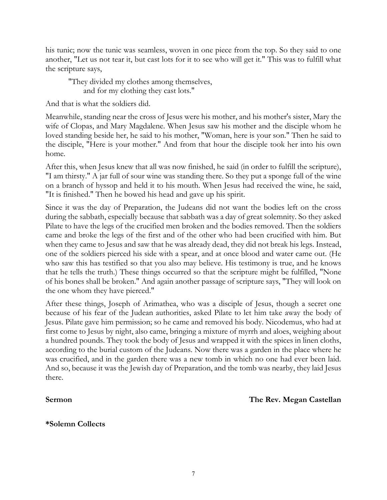his tunic; now the tunic was seamless, woven in one piece from the top. So they said to one another, "Let us not tear it, but cast lots for it to see who will get it." This was to fulfill what the scripture says,

"They divided my clothes among themselves, and for my clothing they cast lots."

And that is what the soldiers did.

Meanwhile, standing near the cross of Jesus were his mother, and his mother's sister, Mary the wife of Clopas, and Mary Magdalene. When Jesus saw his mother and the disciple whom he loved standing beside her, he said to his mother, "Woman, here is your son." Then he said to the disciple, "Here is your mother." And from that hour the disciple took her into his own home.

After this, when Jesus knew that all was now finished, he said (in order to fulfill the scripture), "I am thirsty." A jar full of sour wine was standing there. So they put a sponge full of the wine on a branch of hyssop and held it to his mouth. When Jesus had received the wine, he said, "It is finished." Then he bowed his head and gave up his spirit.

Since it was the day of Preparation, the Judeans did not want the bodies left on the cross during the sabbath, especially because that sabbath was a day of great solemnity. So they asked Pilate to have the legs of the crucified men broken and the bodies removed. Then the soldiers came and broke the legs of the first and of the other who had been crucified with him. But when they came to Jesus and saw that he was already dead, they did not break his legs. Instead, one of the soldiers pierced his side with a spear, and at once blood and water came out. (He who saw this has testified so that you also may believe. His testimony is true, and he knows that he tells the truth.) These things occurred so that the scripture might be fulfilled, "None of his bones shall be broken." And again another passage of scripture says, "They will look on the one whom they have pierced."

After these things, Joseph of Arimathea, who was a disciple of Jesus, though a secret one because of his fear of the Judean authorities, asked Pilate to let him take away the body of Jesus. Pilate gave him permission; so he came and removed his body. Nicodemus, who had at first come to Jesus by night, also came, bringing a mixture of myrrh and aloes, weighing about a hundred pounds. They took the body of Jesus and wrapped it with the spices in linen cloths, according to the burial custom of the Judeans. Now there was a garden in the place where he was crucified, and in the garden there was a new tomb in which no one had ever been laid. And so, because it was the Jewish day of Preparation, and the tomb was nearby, they laid Jesus there.

**Sermon The Rev. Megan Castellan**

#### **\*Solemn Collects**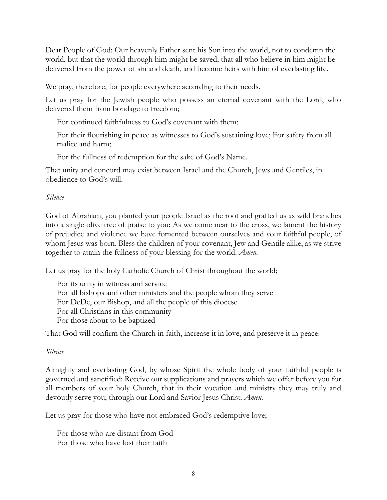Dear People of God: Our heavenly Father sent his Son into the world, not to condemn the world, but that the world through him might be saved; that all who believe in him might be delivered from the power of sin and death, and become heirs with him of everlasting life.

We pray, therefore, for people everywhere according to their needs.

Let us pray for the Jewish people who possess an eternal covenant with the Lord, who delivered them from bondage to freedom;

For continued faithfulness to God's covenant with them;

For their flourishing in peace as witnesses to God's sustaining love; For safety from all malice and harm;

For the fullness of redemption for the sake of God's Name.

That unity and concord may exist between Israel and the Church, Jews and Gentiles, in obedience to God's will.

#### *Silence*

God of Abraham, you planted your people Israel as the root and grafted us as wild branches into a single olive tree of praise to you: As we come near to the cross, we lament the history of prejudice and violence we have fomented between ourselves and your faithful people, of whom Jesus was born. Bless the children of your covenant, Jew and Gentile alike, as we strive together to attain the fullness of your blessing for the world. *Amen.* 

Let us pray for the holy Catholic Church of Christ throughout the world;

For its unity in witness and service For all bishops and other ministers and the people whom they serve For DeDe, our Bishop, and all the people of this diocese For all Christians in this community For those about to be baptized

That God will confirm the Church in faith, increase it in love, and preserve it in peace.

## *Silence*

Almighty and everlasting God, by whose Spirit the whole body of your faithful people is governed and sanctified: Receive our supplications and prayers which we offer before you for all members of your holy Church, that in their vocation and ministry they may truly and devoutly serve you; through our Lord and Savior Jesus Christ. *Amen.*

Let us pray for those who have not embraced God's redemptive love;

For those who are distant from God For those who have lost their faith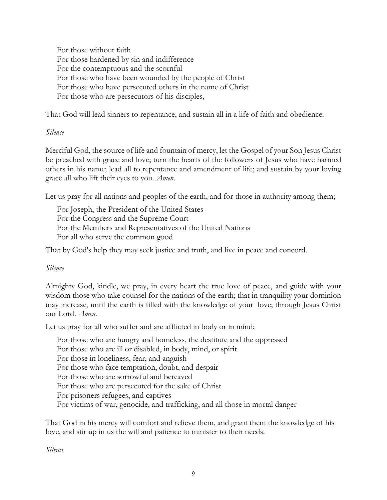For those without faith For those hardened by sin and indifference For the contemptuous and the scornful For those who have been wounded by the people of Christ For those who have persecuted others in the name of Christ For those who are persecutors of his disciples,

That God will lead sinners to repentance, and sustain all in a life of faith and obedience.

## *Silence*

Merciful God, the source of life and fountain of mercy, let the Gospel of your Son Jesus Christ be preached with grace and love; turn the hearts of the followers of Jesus who have harmed others in his name; lead all to repentance and amendment of life; and sustain by your loving grace all who lift their eyes to you. *Amen*.

Let us pray for all nations and peoples of the earth, and for those in authority among them;

For Joseph, the President of the United States For the Congress and the Supreme Court For the Members and Representatives of the United Nations For all who serve the common good

That by God's help they may seek justice and truth, and live in peace and concord.

## *Silence*

Almighty God, kindle, we pray, in every heart the true love of peace, and guide with your wisdom those who take counsel for the nations of the earth; that in tranquility your dominion may increase, until the earth is filled with the knowledge of your love; through Jesus Christ our Lord. *Amen.*

Let us pray for all who suffer and are afflicted in body or in mind;

For those who are hungry and homeless, the destitute and the oppressed For those who are ill or disabled, in body, mind, or spirit For those in loneliness, fear, and anguish For those who face temptation, doubt, and despair For those who are sorrowful and bereaved For those who are persecuted for the sake of Christ For prisoners refugees, and captives For victims of war, genocide, and trafficking, and all those in mortal danger

That God in his mercy will comfort and relieve them, and grant them the knowledge of his love, and stir up in us the will and patience to minister to their needs.

*Silence*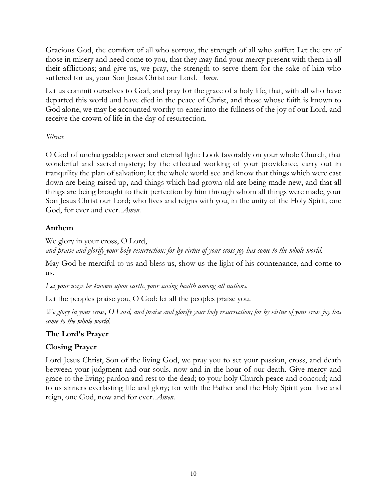Gracious God, the comfort of all who sorrow, the strength of all who suffer: Let the cry of those in misery and need come to you, that they may find your mercy present with them in all their afflictions; and give us, we pray, the strength to serve them for the sake of him who suffered for us, your Son Jesus Christ our Lord. *Amen.*

Let us commit ourselves to God, and pray for the grace of a holy life, that, with all who have departed this world and have died in the peace of Christ, and those whose faith is known to God alone, we may be accounted worthy to enter into the fullness of the joy of our Lord, and receive the crown of life in the day of resurrection.

## *Silence*

O God of unchangeable power and eternal light: Look favorably on your whole Church, that wonderful and sacred mystery; by the effectual working of your providence, carry out in tranquility the plan of salvation; let the whole world see and know that things which were cast down are being raised up, and things which had grown old are being made new, and that all things are being brought to their perfection by him through whom all things were made, your Son Jesus Christ our Lord; who lives and reigns with you, in the unity of the Holy Spirit, one God, for ever and ever. *Amen.*

## **Anthem**

We glory in your cross, O Lord, *and praise and glorify your holy resurrection; for by virtue of your cross joy has come to the whole world.* 

May God be merciful to us and bless us, show us the light of his countenance, and come to us.

*Let your ways be known upon earth, your saving health among all nations.*

Let the peoples praise you, O God; let all the peoples praise you.

*We glory in your cross, O Lord, and praise and glorify your holy resurrection; for by virtue of your cross joy has come to the whole world.*

## **The Lord's Prayer**

## **Closing Prayer**

Lord Jesus Christ, Son of the living God, we pray you to set your passion, cross, and death between your judgment and our souls, now and in the hour of our death. Give mercy and grace to the living; pardon and rest to the dead; to your holy Church peace and concord; and to us sinners everlasting life and glory; for with the Father and the Holy Spirit you live and reign, one God, now and for ever. *Amen.*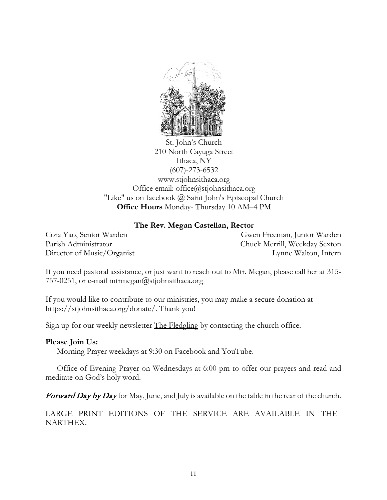

St. John's Church 210 North Cayuga Street Ithaca, NY (607)-273-6532 www.stjohnsithaca.org Office email: office@stjohnsithaca.org "Like" us on facebook @ Saint John's Episcopal Church **Office Hours** Monday- Thursday 10 AM–4 PM

#### **The Rev. Megan Castellan, Rector**

Cora Yao, Senior Warden Gwen Freeman, Junior Warden Parish Administrator Chuck Merrill, Weekday Sexton Director of Music/Organist Lynne Walton, Intern

If you need pastoral assistance, or just want to reach out to Mtr. Megan, please call her at 315 757-0251, or e-mail [mtrmegan@stjohnsithaca.org.](mailto:mtrmegan@stjohnsithaca.org)

If you would like to contribute to our ministries, you may make a secure donation at [https://stjohnsithaca.org/donate/.](https://stjohnsithaca.org/donate/) Thank you!

Sign up for our weekly newsletter [The Fledgling](https://us8.campaign-archive.com/home/?u=ba464e155cfe57854be5971b0&id=62b8db11e4) by contacting the church office.

#### **Please Join Us:**

Morning Prayer weekdays at 9:30 on Facebook and YouTube.

Office of Evening Prayer on Wednesdays at 6:00 pm to offer our prayers and read and meditate on God's holy word.

Forward Day by Day for May, June, and July is available on the table in the rear of the church.

LARGE PRINT EDITIONS OF THE SERVICE ARE AVAILABLE IN THE NARTHEX.